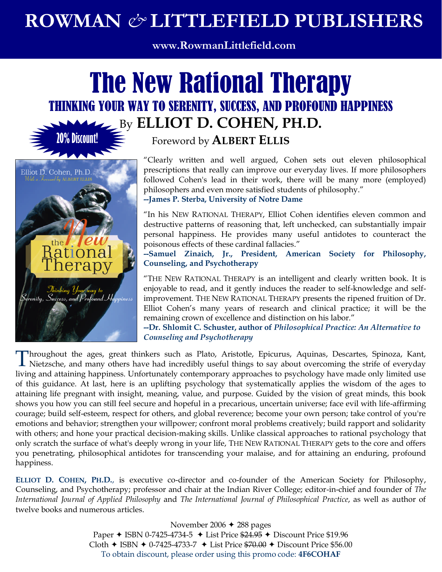# **ROWMAN** *&* **LITTLEFIELD PUBLISHERS**

### **www.RowmanLittlefield.com**

## The New Rational Therapy THINKING YOUR WAY TO SERENITY, SUCCESS, AND PROFOUND HAPPINESS By **ELLIOT D. COHEN, PH.D.**



## Foreword by **ALBERT ELLIS**

"Clearly written and well argued, Cohen sets out eleven philosophical prescriptions that really can improve our everyday lives. If more philosophers followed Cohen's lead in their work, there will be many more (employed) philosophers and even more satisfied students of philosophy." **--James P. Sterba, University of Notre Dame**

"In his NEW RATIONAL THERAPY, Elliot Cohen identifies eleven common and destructive patterns of reasoning that, left unchecked, can substantially impair personal happiness. He provides many useful antidotes to counteract the poisonous effects of these cardinal fallacies."

**--Samuel Zinaich, Jr., President, American Society for Philosophy, Counseling, and Psychotherapy**

"THE NEW RATIONAL THERAPY is an intelligent and clearly written book. It is enjoyable to read, and it gently induces the reader to self-knowledge and selfimprovement. THE NEW RATIONAL THERAPY presents the ripened fruition of Dr. Elliot Cohen's many years of research and clinical practice; it will be the remaining crown of excellence and distinction on his labor."

**--Dr. Shlomit C. Schuster, author of** *Philosophical Practice: An Alternative to Counseling and Psychotherapy*

hroughout the ages, great thinkers such as Plato, Aristotle, Epicurus, Aquinas, Descartes, Spinoza, Kant, Throughout the ages, great thinkers such as Plato, Aristotle, Epicurus, Aquinas, Descartes, Spinoza, Kant, Nietzsche, and many others have had incredibly useful things to say about overcoming the strife of everyday living and attaining happiness. Unfortunately contemporary approaches to psychology have made only limited use of this guidance. At last, here is an uplifting psychology that systematically applies the wisdom of the ages to attaining life pregnant with insight, meaning, value, and purpose. Guided by the vision of great minds, this book shows you how you can still feel secure and hopeful in a precarious, uncertain universe; face evil with life-affirming courage; build self-esteem, respect for others, and global reverence; become your own person; take control of you're emotions and behavior; strengthen your willpower; confront moral problems creatively; build rapport and solidarity with others; and hone your practical decision-making skills. Unlike classical approaches to rational psychology that only scratch the surface of what's deeply wrong in your life, THE NEW RATIONAL THERAPY gets to the core and offers you penetrating, philosophical antidotes for transcending your malaise, and for attaining an enduring, profound happiness.

**ELLIOT D. COHEN, PH.D.**, is executive co-director and co-founder of the American Society for Philosophy, Counseling, and Psychotherapy; professor and chair at the Indian River College; editor-in-chief and founder of *The International Journal of Applied Philosophy* and *The International Journal of Philosophical Practice*, as well as author of twelve books and numerous articles.

> November 2006  $\div$  288 pages Paper  $\div$  ISBN 0-7425-4734-5  $\div$  List Price \$24.95  $\div$  Discount Price \$19.96 Cloth  $\div$  ISBN  $\div$  0-7425-4733-7  $\div$  List Price \$70.00  $\div$  Discount Price \$56.00 To obtain discount, please order using this promo code: **4F6COHAF**